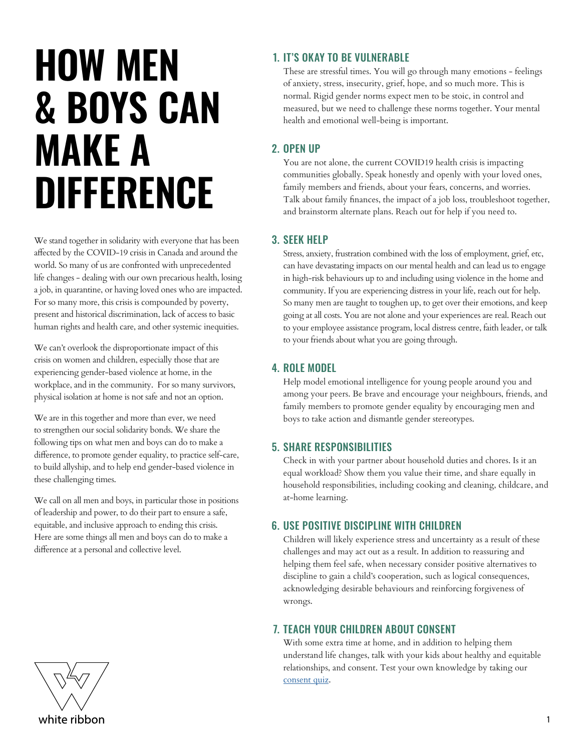# **HOW MEN & BOYS CAN MAKE A DIFFERENCE**

We stand together in solidarity with everyone that has been affected by the COVID-19 crisis in Canada and around the world. So many of us are confronted with unprecedented life changes - dealing with our own precarious health, losing a job, in quarantine, or having loved ones who are impacted. For so many more, this crisis is compounded by poverty, present and historical discrimination, lack of access to basic human rights and health care, and other systemic inequities.

We can't overlook the disproportionate impact of this crisis on women and children, especially those that are experiencing gender-based violence at home, in the workplace, and in the community. For so many survivors, physical isolation at home is not safe and not an option.

We are in this together and more than ever, we need to strengthen our social solidarity bonds. We share the following tips on what men and boys can do to make a difference, to promote gender equality, to practice self-care, to build allyship, and to help end gender-based violence in these challenging times.

We call on all men and boys, in particular those in positions of leadership and power, to do their part to ensure a safe, equitable, and inclusive approach to ending this crisis. Here are some things all men and boys can do to make a difference at a personal and collective level.



# 1. IT'S OKAY TO BE VULNERABLE

These are stressful times. You will go through many emotions - feelings of anxiety, stress, insecurity, grief, hope, and so much more. This is normal. Rigid gender norms expect men to be stoic, in control and measured, but we need to challenge these norms together. Your mental health and emotional well-being is important.

## 2. OPEN UP

You are not alone, the current COVID19 health crisis is impacting communities globally. Speak honestly and openly with your loved ones, family members and friends, about your fears, concerns, and worries. Talk about family finances, the impact of a job loss, troubleshoot together, and brainstorm alternate plans. Reach out for help if you need to.

## 3. SEEK HELP

Stress, anxiety, frustration combined with the loss of employment, grief, etc, can have devastating impacts on our mental health and can lead us to engage in high-risk behaviours up to and including using violence in the home and community. If you are experiencing distress in your life, reach out for help. So many men are taught to toughen up, to get over their emotions, and keep going at all costs. You are not alone and your experiences are real. Reach out to your employee assistance program, local distress centre, faith leader, or talk to your friends about what you are going through.

## 4. ROLE MODEL

Help model emotional intelligence for young people around you and among your peers. Be brave and encourage your neighbours, friends, and family members to promote gender equality by encouraging men and boys to take action and dismantle gender stereotypes.

## 5. SHARE RESPONSIBILITIES

Check in with your partner about household duties and chores. Is it an equal workload? Show them you value their time, and share equally in household responsibilities, including cooking and cleaning, childcare, and at-home learning.

## 6. USE POSITIVE DISCIPLINE WITH CHILDREN

Children will likely experience stress and uncertainty as a result of these challenges and may act out as a result. In addition to reassuring and helping them feel safe, when necessary consider positive alternatives to discipline to gain a child's cooperation, such as logical consequences, acknowledging desirable behaviours and reinforcing forgiveness of wrongs.

# 7. TEACH YOUR CHILDREN ABOUT CONSENT

With some extra time at home, and in addition to helping them understand life changes, talk with your kids about healthy and equitable relationships, and consent. Test your own knowledge by taking our [consent quiz](https://www.whiteribbon.ca/consent-quiz.html).